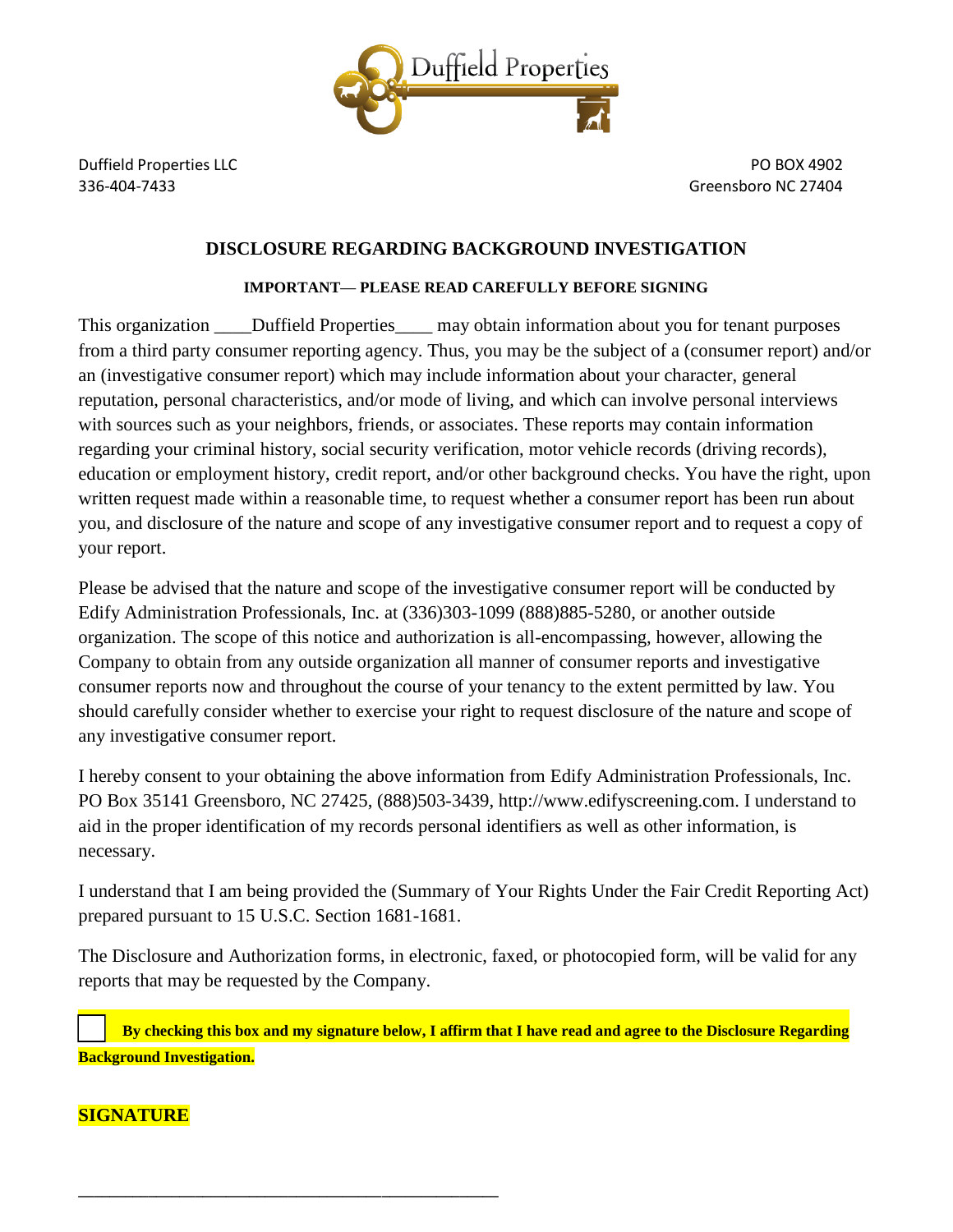

### **DISCLOSURE REGARDING BACKGROUND INVESTIGATION**

### **IMPORTANT— PLEASE READ CAREFULLY BEFORE SIGNING**

This organization \_\_\_\_\_Duffield Properties \_\_\_\_\_ may obtain information about you for tenant purposes from a third party consumer reporting agency. Thus, you may be the subject of a (consumer report) and/or an (investigative consumer report) which may include information about your character, general reputation, personal characteristics, and/or mode of living, and which can involve personal interviews with sources such as your neighbors, friends, or associates. These reports may contain information regarding your criminal history, social security verification, motor vehicle records (driving records), education or employment history, credit report, and/or other background checks. You have the right, upon written request made within a reasonable time, to request whether a consumer report has been run about you, and disclosure of the nature and scope of any investigative consumer report and to request a copy of your report.

Please be advised that the nature and scope of the investigative consumer report will be conducted by Edify Administration Professionals, Inc. at (336)303-1099 (888)885-5280, or another outside organization. The scope of this notice and authorization is all-encompassing, however, allowing the Company to obtain from any outside organization all manner of consumer reports and investigative consumer reports now and throughout the course of your tenancy to the extent permitted by law. You should carefully consider whether to exercise your right to request disclosure of the nature and scope of any investigative consumer report.

I hereby consent to your obtaining the above information from Edify Administration Professionals, Inc. PO Box 35141 Greensboro, NC 27425, (888)503-3439, http://www.edifyscreening.com. I understand to aid in the proper identification of my records personal identifiers as well as other information, is necessary.

I understand that I am being provided the (Summary of Your Rights Under the Fair Credit Reporting Act) prepared pursuant to 15 U.S.C. Section 1681-1681.

The Disclosure and Authorization forms, in electronic, faxed, or photocopied form, will be valid for any reports that may be requested by the Company.

☐ **By checking this box and my signature below, I affirm that I have read and agree to the Disclosure Regarding Background Investigation.**

# **SIGNATURE**

**\_\_\_\_\_\_\_\_\_\_\_\_\_\_\_\_\_\_\_\_\_\_\_\_\_\_\_\_\_\_\_\_\_\_\_\_\_\_\_\_\_\_\_\_\_\_\_\_\_\_\_\_\_\_**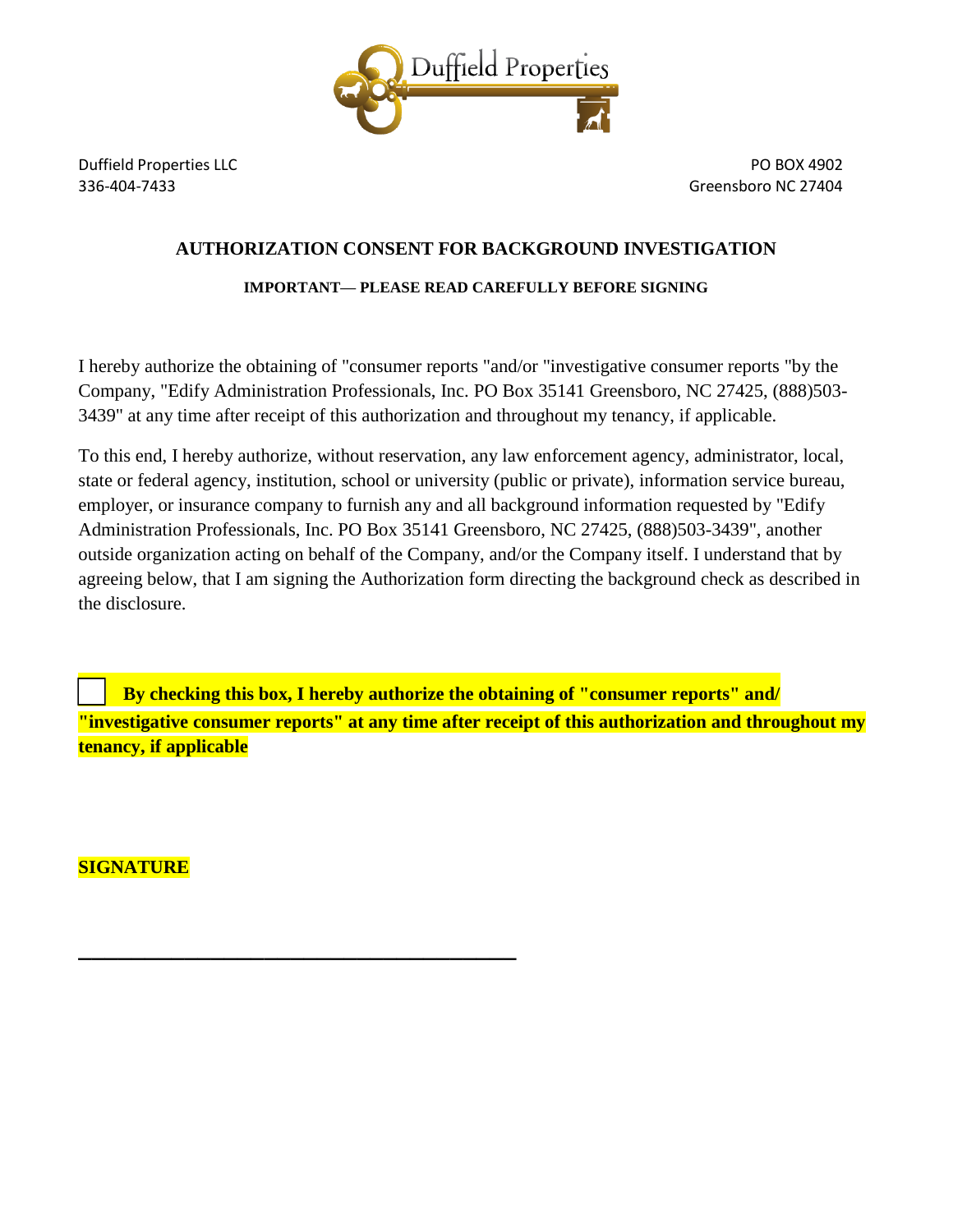

## **AUTHORIZATION CONSENT FOR BACKGROUND INVESTIGATION**

### **IMPORTANT— PLEASE READ CAREFULLY BEFORE SIGNING**

I hereby authorize the obtaining of "consumer reports "and/or "investigative consumer reports "by the Company, "Edify Administration Professionals, Inc. PO Box 35141 Greensboro, NC 27425, (888)503- 3439" at any time after receipt of this authorization and throughout my tenancy, if applicable.

To this end, I hereby authorize, without reservation, any law enforcement agency, administrator, local, state or federal agency, institution, school or university (public or private), information service bureau, employer, or insurance company to furnish any and all background information requested by "Edify Administration Professionals, Inc. PO Box 35141 Greensboro, NC 27425, (888)503-3439", another outside organization acting on behalf of the Company, and/or the Company itself. I understand that by agreeing below, that I am signing the Authorization form directing the background check as described in the disclosure.

By checking this box, I hereby authorize the obtaining of "consumer reports" and/ **"investigative consumer reports" at any time after receipt of this authorization and throughout my tenancy, if applicable**

**SIGNATURE**

**\_\_\_\_\_\_\_\_\_\_\_\_\_\_\_\_\_\_\_\_\_\_\_\_\_\_\_\_\_\_\_\_\_**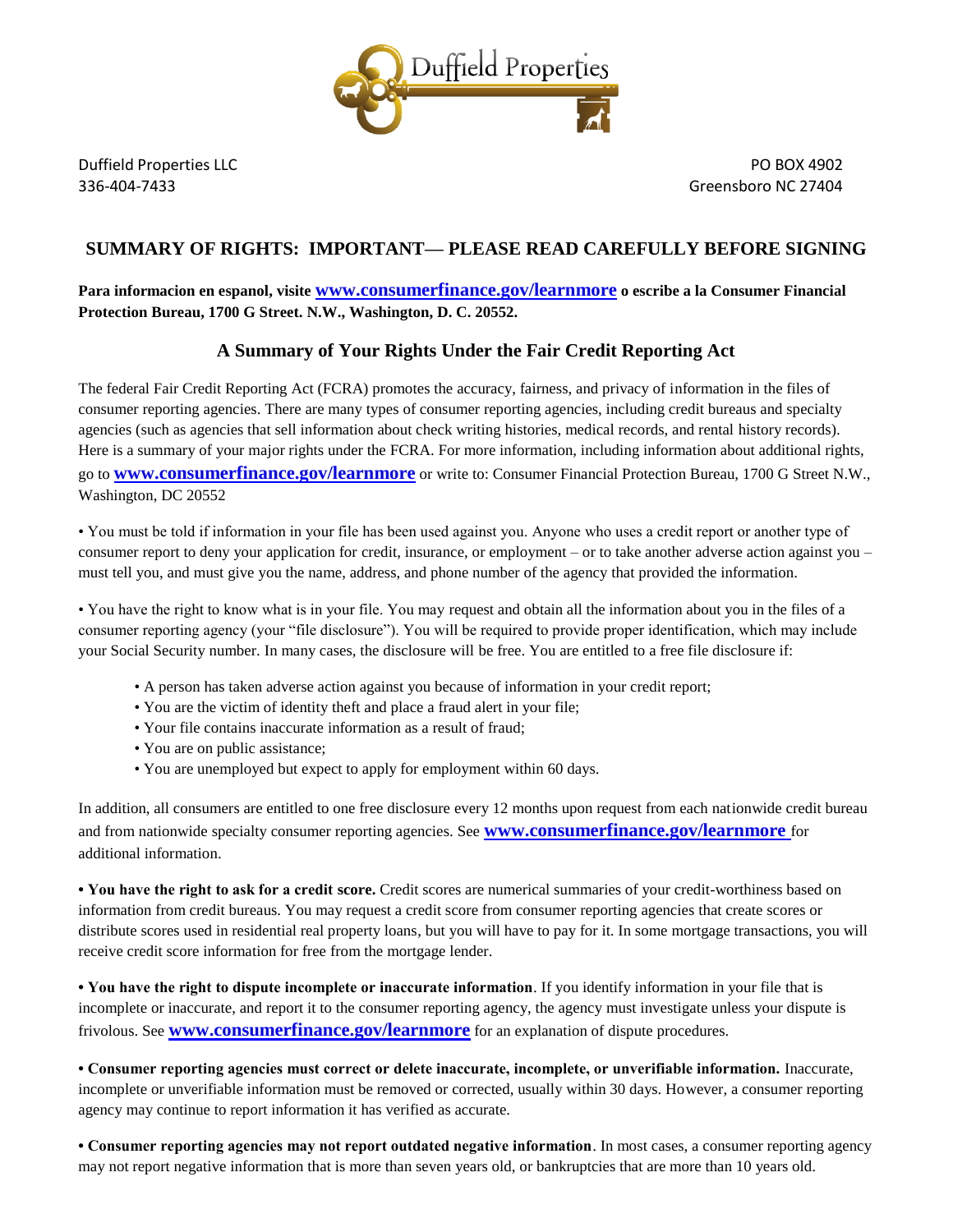

## **SUMMARY OF RIGHTS: IMPORTANT— PLEASE READ CAREFULLY BEFORE SIGNING**

### **Para informacion en espanol, visite [www.consumerfinance.gov/learnmore](http://www.consumerfinance.gov/learnmore) o escribe a la Consumer Financial Protection Bureau, 1700 G Street. N.W., Washington, D. C. 20552.**

### **A Summary of Your Rights Under the Fair Credit Reporting Act**

The federal Fair Credit Reporting Act (FCRA) promotes the accuracy, fairness, and privacy of information in the files of consumer reporting agencies. There are many types of consumer reporting agencies, including credit bureaus and specialty agencies (such as agencies that sell information about check writing histories, medical records, and rental history records). Here is a summary of your major rights under the FCRA. For more information, including information about additional rights, go to **[www.consumerfinance.gov/learnmore](http://www.consumerfinance.gov/learnmore)** or write to: Consumer Financial Protection Bureau, 1700 G Street N.W., Washington, DC 20552

• You must be told if information in your file has been used against you. Anyone who uses a credit report or another type of consumer report to deny your application for credit, insurance, or employment – or to take another adverse action against you – must tell you, and must give you the name, address, and phone number of the agency that provided the information.

• You have the right to know what is in your file. You may request and obtain all the information about you in the files of a consumer reporting agency (your "file disclosure"). You will be required to provide proper identification, which may include your Social Security number. In many cases, the disclosure will be free. You are entitled to a free file disclosure if:

- A person has taken adverse action against you because of information in your credit report;
- You are the victim of identity theft and place a fraud alert in your file;
- Your file contains inaccurate information as a result of fraud;
- You are on public assistance;
- You are unemployed but expect to apply for employment within 60 days.

In addition, all consumers are entitled to one free disclosure every 12 months upon request from each nationwide credit bureau and from nationwide specialty consumer reporting agencies. See **[www.consumerfinance.gov/learnmore](http://www.consumerfinance.gov/learnmore)** for additional information.

**• You have the right to ask for a credit score.** Credit scores are numerical summaries of your credit-worthiness based on information from credit bureaus. You may request a credit score from consumer reporting agencies that create scores or distribute scores used in residential real property loans, but you will have to pay for it. In some mortgage transactions, you will receive credit score information for free from the mortgage lender.

**• You have the right to dispute incomplete or inaccurate information**. If you identify information in your file that is incomplete or inaccurate, and report it to the consumer reporting agency, the agency must investigate unless your dispute is frivolous. See **[www.consumerfinance.gov/learnmore](http://www.consumerfinance.gov/learnmore)** for an explanation of dispute procedures.

**• Consumer reporting agencies must correct or delete inaccurate, incomplete, or unverifiable information.** Inaccurate, incomplete or unverifiable information must be removed or corrected, usually within 30 days. However, a consumer reporting agency may continue to report information it has verified as accurate.

**• Consumer reporting agencies may not report outdated negative information**. In most cases, a consumer reporting agency may not report negative information that is more than seven years old, or bankruptcies that are more than 10 years old.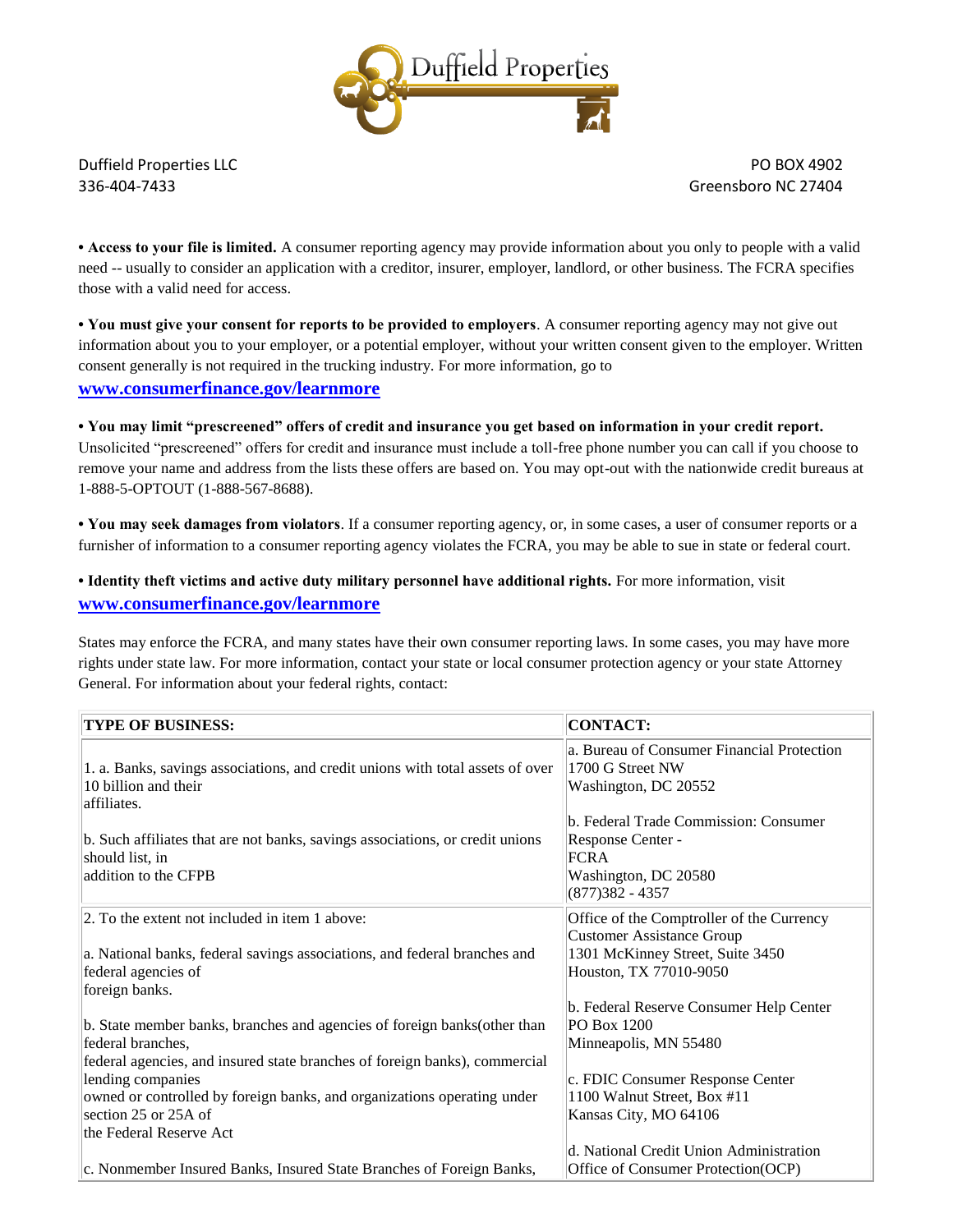

**• Access to your file is limited.** A consumer reporting agency may provide information about you only to people with a valid need -- usually to consider an application with a creditor, insurer, employer, landlord, or other business. The FCRA specifies those with a valid need for access.

**• You must give your consent for reports to be provided to employers**. A consumer reporting agency may not give out information about you to your employer, or a potential employer, without your written consent given to the employer. Written consent generally is not required in the trucking industry. For more information, go to **[www.consumerfinance.gov/learnmore](http://www.consumerfinance.gov/learnmore)**

**• You may limit "prescreened" offers of credit and insurance you get based on information in your credit report.** Unsolicited "prescreened" offers for credit and insurance must include a toll-free phone number you can call if you choose to remove your name and address from the lists these offers are based on. You may opt-out with the nationwide credit bureaus at 1-888-5-OPTOUT (1-888-567-8688).

**• You may seek damages from violators**. If a consumer reporting agency, or, in some cases, a user of consumer reports or a furnisher of information to a consumer reporting agency violates the FCRA, you may be able to sue in state or federal court.

**• Identity theft victims and active duty military personnel have additional rights.** For more information, visit **[www.consumerfinance.gov/learnmore](http://www.consumerfinance.gov/learnmore)**

States may enforce the FCRA, and many states have their own consumer reporting laws. In some cases, you may have more rights under state law. For more information, contact your state or local consumer protection agency or your state Attorney General. For information about your federal rights, contact:

| <b>TYPE OF BUSINESS:</b>                                                                                                                                                                                                                                                                                                        | <b>CONTACT:</b>                                                                                                                                                             |
|---------------------------------------------------------------------------------------------------------------------------------------------------------------------------------------------------------------------------------------------------------------------------------------------------------------------------------|-----------------------------------------------------------------------------------------------------------------------------------------------------------------------------|
| 1. a. Banks, savings associations, and credit unions with total assets of over<br>10 billion and their<br>affiliates.                                                                                                                                                                                                           | a. Bureau of Consumer Financial Protection<br>1700 G Street NW<br>Washington, DC 20552                                                                                      |
| b. Such affiliates that are not banks, savings associations, or credit unions<br>should list, in<br>addition to the CFPB                                                                                                                                                                                                        | b. Federal Trade Commission: Consumer<br>Response Center -<br><b>FCRA</b><br>Washington, DC 20580<br>$(877)382 - 4357$                                                      |
| 2. To the extent not included in item 1 above:<br>a. National banks, federal savings associations, and federal branches and<br>federal agencies of<br>foreign banks.                                                                                                                                                            | Office of the Comptroller of the Currency<br>Customer Assistance Group<br>1301 McKinney Street, Suite 3450<br>Houston, TX 77010-9050                                        |
| b. State member banks, branches and agencies of foreign banks (other than<br>federal branches,<br>federal agencies, and insured state branches of foreign banks), commercial<br>lending companies<br>owned or controlled by foreign banks, and organizations operating under<br>section 25 or 25A of<br>the Federal Reserve Act | b. Federal Reserve Consumer Help Center<br>PO Box 1200<br>Minneapolis, MN 55480<br>c. FDIC Consumer Response Center<br>1100 Walnut Street, Box #11<br>Kansas City, MO 64106 |
| c. Nonmember Insured Banks, Insured State Branches of Foreign Banks,                                                                                                                                                                                                                                                            | d. National Credit Union Administration<br>Office of Consumer Protection(OCP)                                                                                               |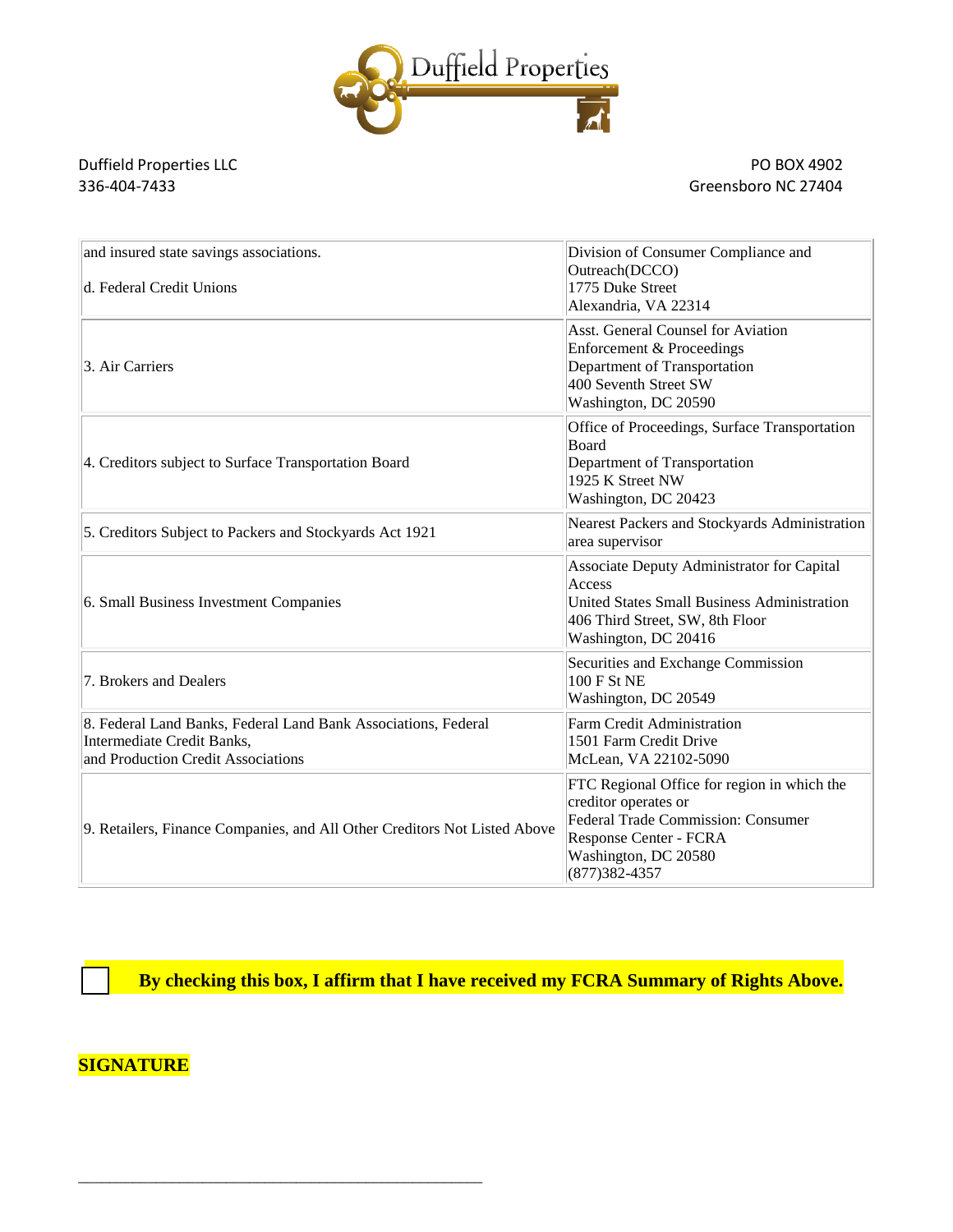

Duffield Properties LLC<br>136-404-7433<br>Greensboro NC 27404

Greensboro NC 27404

| and insured state savings associations.<br>d. Federal Credit Unions                                                                | Division of Consumer Compliance and<br>Outreach(DCCO)<br>1775 Duke Street<br>Alexandria, VA 22314                                                                                |
|------------------------------------------------------------------------------------------------------------------------------------|----------------------------------------------------------------------------------------------------------------------------------------------------------------------------------|
| 3. Air Carriers                                                                                                                    | <b>Asst. General Counsel for Aviation</b><br>Enforcement & Proceedings<br>Department of Transportation<br>400 Seventh Street SW<br>Washington, DC 20590                          |
| 4. Creditors subject to Surface Transportation Board                                                                               | Office of Proceedings, Surface Transportation<br>Board<br>Department of Transportation<br>1925 K Street NW<br>Washington, DC 20423                                               |
| 5. Creditors Subject to Packers and Stockyards Act 1921                                                                            | Nearest Packers and Stockyards Administration<br>area supervisor                                                                                                                 |
| 6. Small Business Investment Companies                                                                                             | Associate Deputy Administrator for Capital<br>Access<br>United States Small Business Administration<br>406 Third Street, SW, 8th Floor<br>Washington, DC 20416                   |
| 7. Brokers and Dealers                                                                                                             | Securities and Exchange Commission<br>100 F St NE<br>Washington, DC 20549                                                                                                        |
| 8. Federal Land Banks, Federal Land Bank Associations, Federal<br>Intermediate Credit Banks,<br>and Production Credit Associations | Farm Credit Administration<br>1501 Farm Credit Drive<br>McLean, VA 22102-5090                                                                                                    |
| 9. Retailers, Finance Companies, and All Other Creditors Not Listed Above                                                          | FTC Regional Office for region in which the<br>creditor operates or<br>Federal Trade Commission: Consumer<br>Response Center - FCRA<br>Washington, DC 20580<br>$(877)382 - 4357$ |

By checking this box, I affirm that I have received my FCRA Summary of Rights Above.

# **SIGNATURE**

\_\_\_\_\_\_\_\_\_\_\_\_\_\_\_\_\_\_\_\_\_\_\_\_\_\_\_\_\_\_\_\_\_\_\_\_\_\_\_\_\_\_\_\_\_\_\_\_\_\_\_\_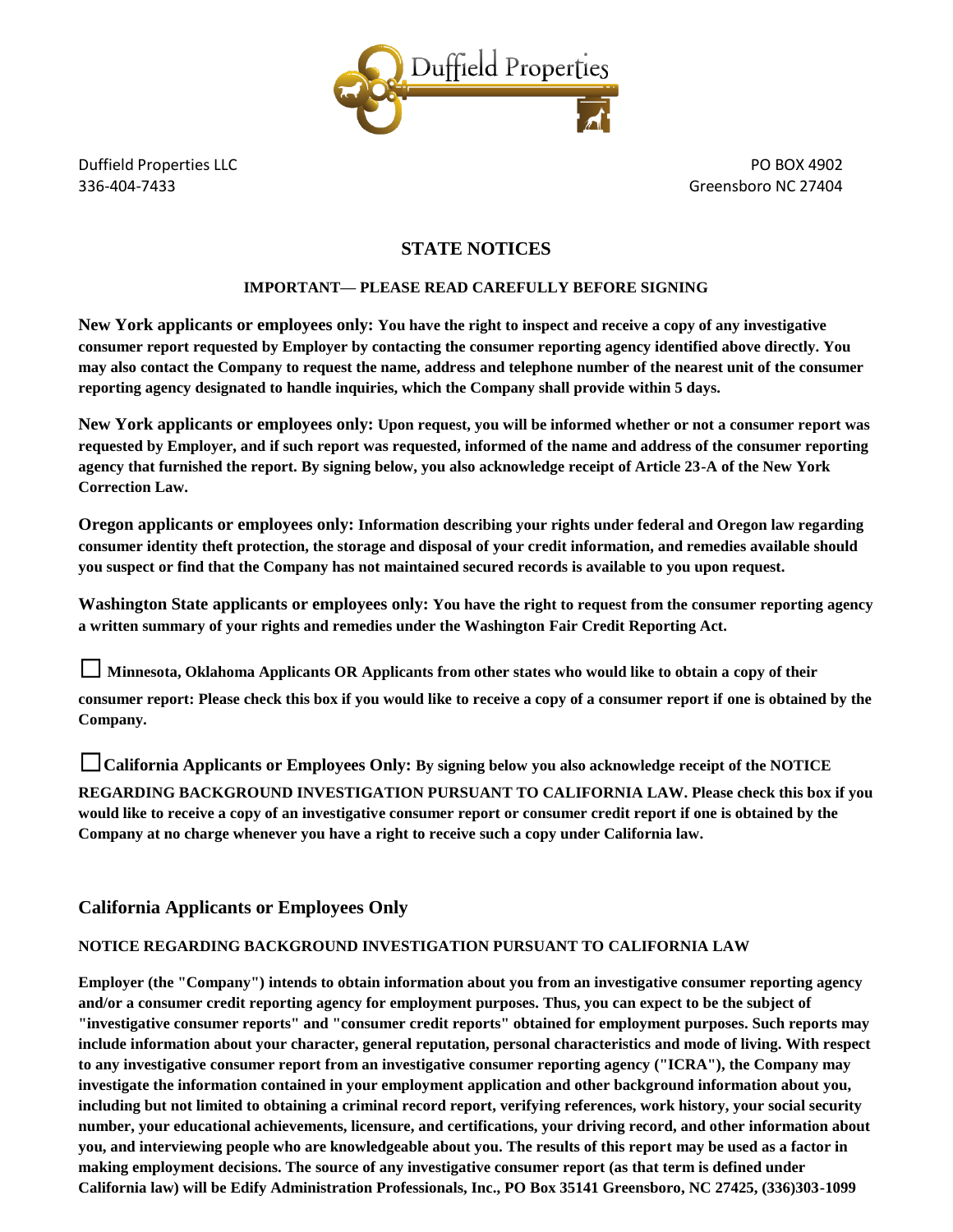

### **STATE NOTICES**

#### **IMPORTANT— PLEASE READ CAREFULLY BEFORE SIGNING**

**New York applicants or employees only: You have the right to inspect and receive a copy of any investigative consumer report requested by Employer by contacting the consumer reporting agency identified above directly. You may also contact the Company to request the name, address and telephone number of the nearest unit of the consumer reporting agency designated to handle inquiries, which the Company shall provide within 5 days.**

**New York applicants or employees only: Upon request, you will be informed whether or not a consumer report was requested by Employer, and if such report was requested, informed of the name and address of the consumer reporting agency that furnished the report. By signing below, you also acknowledge receipt of Article 23-A of the New York Correction Law.**

**Oregon applicants or employees only: Information describing your rights under federal and Oregon law regarding consumer identity theft protection, the storage and disposal of your credit information, and remedies available should you suspect or find that the Company has not maintained secured records is available to you upon request.**

**Washington State applicants or employees only: You have the right to request from the consumer reporting agency a written summary of your rights and remedies under the Washington Fair Credit Reporting Act.**

☐ **Minnesota, Oklahoma Applicants OR Applicants from other states who would like to obtain a copy of their consumer report: Please check this box if you would like to receive a copy of a consumer report if one is obtained by the Company.**

☐**California Applicants or Employees Only: By signing below you also acknowledge receipt of the NOTICE REGARDING BACKGROUND INVESTIGATION PURSUANT TO CALIFORNIA LAW. Please check this box if you would like to receive a copy of an investigative consumer report or consumer credit report if one is obtained by the Company at no charge whenever you have a right to receive such a copy under California law.**

### **California Applicants or Employees Only**

#### **NOTICE REGARDING BACKGROUND INVESTIGATION PURSUANT TO CALIFORNIA LAW**

**Employer (the "Company") intends to obtain information about you from an investigative consumer reporting agency and/or a consumer credit reporting agency for employment purposes. Thus, you can expect to be the subject of "investigative consumer reports" and "consumer credit reports" obtained for employment purposes. Such reports may include information about your character, general reputation, personal characteristics and mode of living. With respect to any investigative consumer report from an investigative consumer reporting agency ("ICRA"), the Company may investigate the information contained in your employment application and other background information about you, including but not limited to obtaining a criminal record report, verifying references, work history, your social security number, your educational achievements, licensure, and certifications, your driving record, and other information about you, and interviewing people who are knowledgeable about you. The results of this report may be used as a factor in making employment decisions. The source of any investigative consumer report (as that term is defined under California law) will be Edify Administration Professionals, Inc., PO Box 35141 Greensboro, NC 27425, (336)303-1099**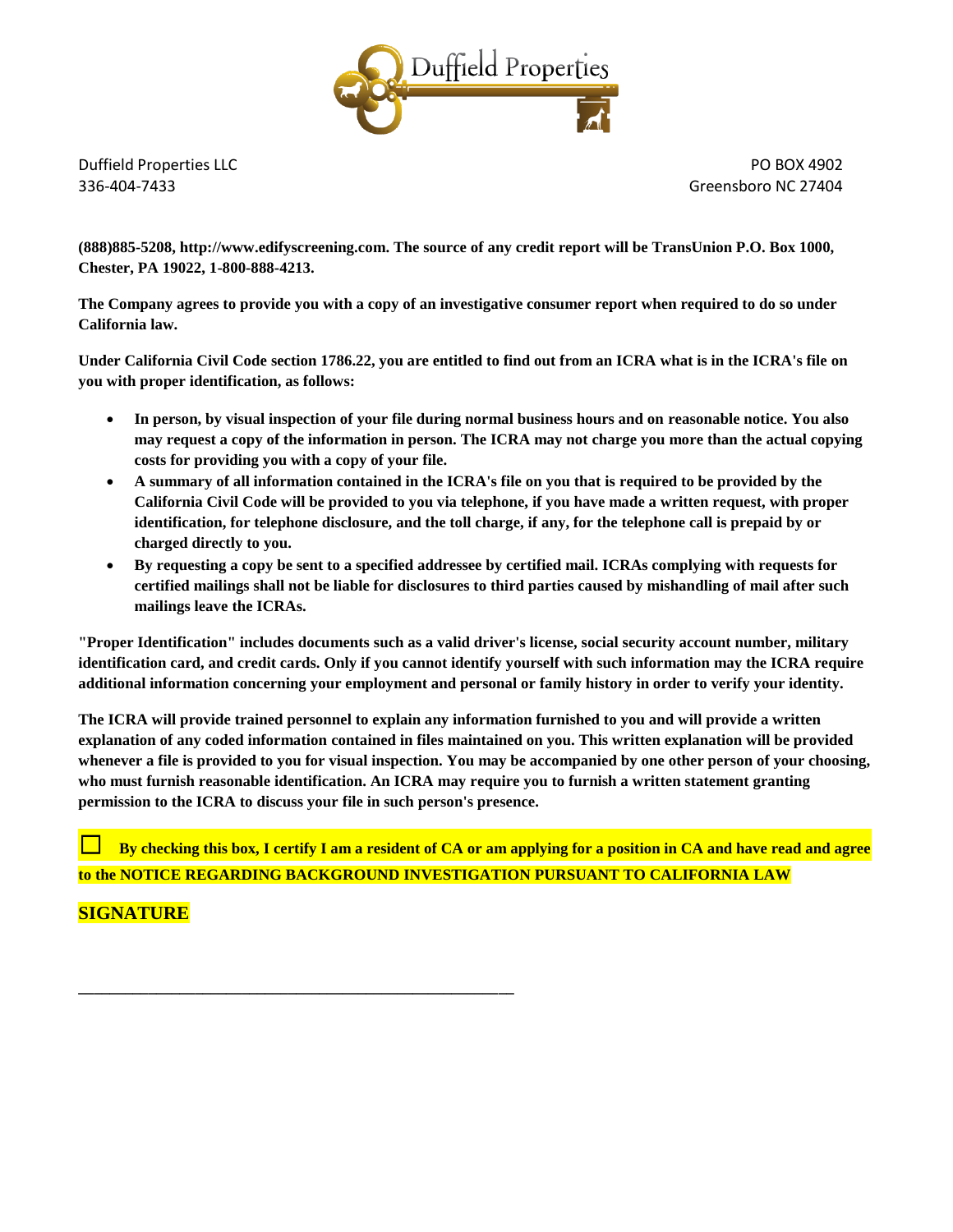

**(888)885-5208, http://www.edifyscreening.com. The source of any credit report will be TransUnion P.O. Box 1000, Chester, PA 19022, 1-800-888-4213.**

**The Company agrees to provide you with a copy of an investigative consumer report when required to do so under California law.**

**Under California Civil Code section 1786.22, you are entitled to find out from an ICRA what is in the ICRA's file on you with proper identification, as follows:**

- **In person, by visual inspection of your file during normal business hours and on reasonable notice. You also may request a copy of the information in person. The ICRA may not charge you more than the actual copying costs for providing you with a copy of your file.**
- **A summary of all information contained in the ICRA's file on you that is required to be provided by the California Civil Code will be provided to you via telephone, if you have made a written request, with proper identification, for telephone disclosure, and the toll charge, if any, for the telephone call is prepaid by or charged directly to you.**
- **By requesting a copy be sent to a specified addressee by certified mail. ICRAs complying with requests for certified mailings shall not be liable for disclosures to third parties caused by mishandling of mail after such mailings leave the ICRAs.**

**"Proper Identification" includes documents such as a valid driver's license, social security account number, military identification card, and credit cards. Only if you cannot identify yourself with such information may the ICRA require additional information concerning your employment and personal or family history in order to verify your identity.**

**The ICRA will provide trained personnel to explain any information furnished to you and will provide a written explanation of any coded information contained in files maintained on you. This written explanation will be provided whenever a file is provided to you for visual inspection. You may be accompanied by one other person of your choosing, who must furnish reasonable identification. An ICRA may require you to furnish a written statement granting permission to the ICRA to discuss your file in such person's presence.**

By checking this box, I certify I am a resident of CA or am applying for a position in CA and have read and agree **to the NOTICE REGARDING BACKGROUND INVESTIGATION PURSUANT TO CALIFORNIA LAW**

# **SIGNATURE**

**\_\_\_\_\_\_\_\_\_\_\_\_\_\_\_\_\_\_\_\_\_\_\_\_\_\_\_\_\_\_\_\_\_\_\_\_\_\_\_\_\_\_\_\_\_\_\_\_\_\_\_\_\_\_\_\_**